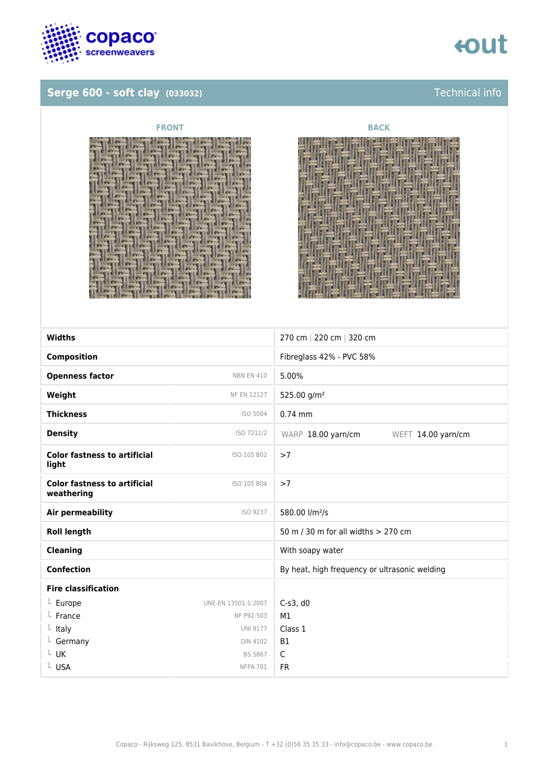

## **Serge 600 - soft clay** (033032) **Technical info**

## tout





| <b>Widths</b>                                     |                     | 270 cm   220 cm   320 cm                      |
|---------------------------------------------------|---------------------|-----------------------------------------------|
| <b>Composition</b>                                |                     | Fibreglass 42% - PVC 58%                      |
| <b>Openness factor</b>                            | <b>NBN EN 410</b>   | 5.00%                                         |
| Weight                                            | <b>NF EN 12127</b>  | 525.00 g/m <sup>2</sup>                       |
| <b>Thickness</b>                                  | ISO 5084            | $0.74$ mm                                     |
| <b>Density</b>                                    | ISO 7211/2          | WARP 18.00 yarn/cm<br>WEFT 14.00 yarn/cm      |
| <b>Color fastness to artificial</b><br>light      | ISO 105 B02         | >7                                            |
| <b>Color fastness to artificial</b><br>weathering | ISO 105 B04         | >7                                            |
| Air permeability                                  | ISO 9237            | 580.00 l/m <sup>2</sup> /s                    |
| <b>Roll length</b>                                |                     | 50 m / 30 m for all widths > 270 cm           |
| <b>Cleaning</b>                                   |                     | With soapy water                              |
| <b>Confection</b>                                 |                     | By heat, high frequency or ultrasonic welding |
| <b>Fire classification</b>                        |                     |                                               |
| $L$ Europe                                        | UNE-EN 13501-1:2007 | $C-s3$ , d $0$                                |
| France                                            | NF P92-503          | M1                                            |
| Italy                                             | <b>UNI 9177</b>     | Class 1                                       |
| $L$ Germany                                       | <b>DIN 4102</b>     | <b>B1</b>                                     |
| UK                                                | BS 5867             | C                                             |
| L USA                                             | <b>NFPA 701</b>     | <b>FR</b>                                     |
|                                                   |                     |                                               |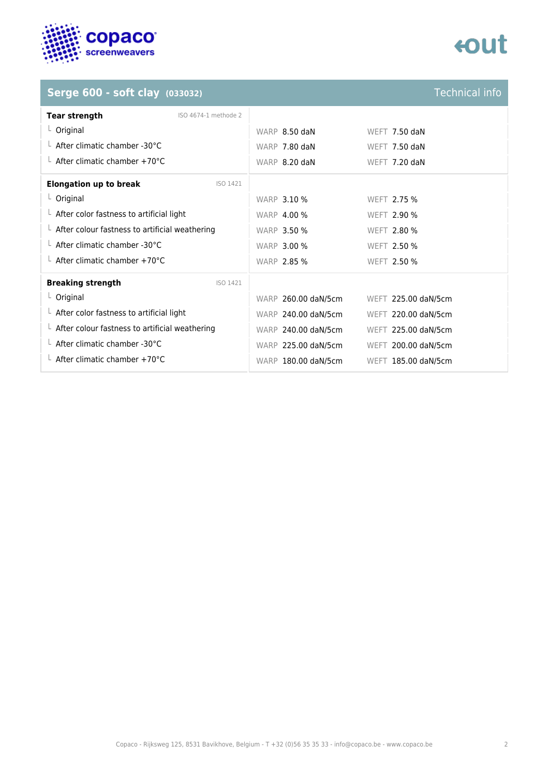

# **eout**

## **Serge 600 - soft clay** (033032) **Technical info**

| <b>Tear strength</b><br>ISO 4674-1 methode 2           |                     |                     |
|--------------------------------------------------------|---------------------|---------------------|
| $L$ Original                                           | WARP 8.50 daN       | WEFT 7.50 daN       |
| L After climatic chamber -30°C                         | WARP 7.80 daN       | WEFT 7.50 daN       |
| $\perp$ After climatic chamber +70°C                   | WARP 8.20 daN       | WEFT 7.20 daN       |
| <b>Elongation up to break</b><br>ISO 1421              |                     |                     |
| $L$ Original                                           | <b>WARP 3.10 %</b>  | WEFT 2.75 %         |
| $\perp$ After color fastness to artificial light       | <b>WARP 4.00 %</b>  | <b>WEFT 2.90 %</b>  |
| $\perp$ After colour fastness to artificial weathering | <b>WARP 3.50 %</b>  | <b>WEFT 2.80 %</b>  |
| $\perp$ After climatic chamber -30°C                   | <b>WARP 3.00 %</b>  | WEFT 2.50 %         |
| $\perp$ After climatic chamber +70°C                   | <b>WARP 2.85 %</b>  | <b>WEFT 2.50 %</b>  |
| <b>Breaking strength</b><br>ISO 1421                   |                     |                     |
| $L$ Original                                           | WARP 260.00 daN/5cm | WEFT 225.00 daN/5cm |
| $\perp$ After color fastness to artificial light       | WARP 240.00 daN/5cm | WEFT 220.00 daN/5cm |
| $\perp$ After colour fastness to artificial weathering | WARP 240.00 daN/5cm | WEFT 225.00 daN/5cm |
| $\perp$ After climatic chamber -30°C                   | WARP 225.00 daN/5cm | WEFT 200.00 daN/5cm |
| $\perp$ After climatic chamber +70°C                   | WARP 180.00 daN/5cm | WEFT 185.00 daN/5cm |
|                                                        |                     |                     |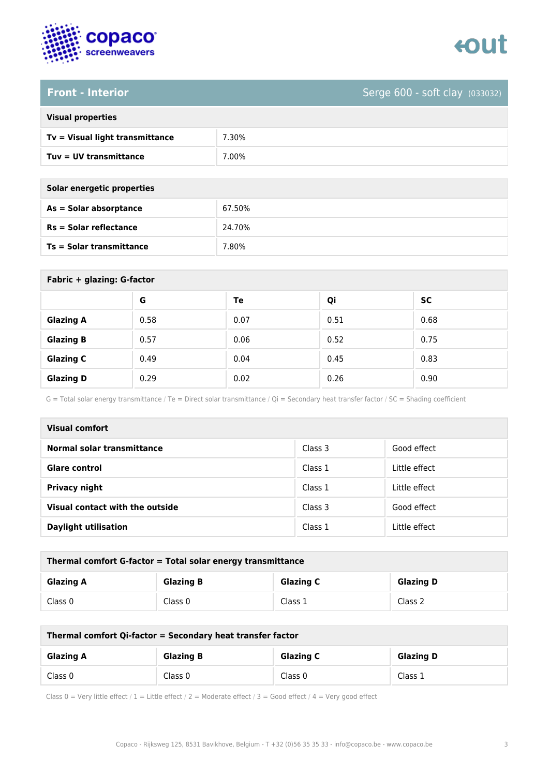



**Front - Interior** Serge 600 - soft clay (033032)

| <b>Visual properties</b> |  |  |
|--------------------------|--|--|
|                          |  |  |

| Tv = Visual light transmittance | .30%  |
|---------------------------------|-------|
| Tuv = UV transmittance          | 7.00% |

| Solar energetic properties      |        |  |
|---------------------------------|--------|--|
| As = Solar absorptance          | 67.50% |  |
| $Rs = Solar$ reflectance        | 24.70% |  |
| <b>Ts = Solar transmittance</b> | 7.80%  |  |

| Fabric + glazing: G-factor |      |      |      |           |
|----------------------------|------|------|------|-----------|
|                            | G    | Te   | Qi   | <b>SC</b> |
| <b>Glazing A</b>           | 0.58 | 0.07 | 0.51 | 0.68      |
| <b>Glazing B</b>           | 0.57 | 0.06 | 0.52 | 0.75      |
| <b>Glazing C</b>           | 0.49 | 0.04 | 0.45 | 0.83      |
| <b>Glazing D</b>           | 0.29 | 0.02 | 0.26 | 0.90      |

G = Total solar energy transmittance / Te = Direct solar transmittance / Qi = Secondary heat transfer factor / SC = Shading coefficient

| <b>Visual comfort</b>           |         |               |
|---------------------------------|---------|---------------|
| Normal solar transmittance      | Class 3 | Good effect   |
| <b>Glare control</b>            | Class 1 | Little effect |
| <b>Privacy night</b>            | Class 1 | Little effect |
| Visual contact with the outside | Class 3 | Good effect   |
| <b>Daylight utilisation</b>     | Class 1 | Little effect |

| Thermal comfort G-factor = Total solar energy transmittance                  |         |         |         |  |
|------------------------------------------------------------------------------|---------|---------|---------|--|
| <b>Glazing C</b><br><b>Glazing B</b><br><b>Glazing D</b><br><b>Glazing A</b> |         |         |         |  |
| Class 0                                                                      | Class 0 | Class 1 | Class 2 |  |

| Thermal comfort Qi-factor = Secondary heat transfer factor                   |         |         |         |  |
|------------------------------------------------------------------------------|---------|---------|---------|--|
| <b>Glazing B</b><br><b>Glazing C</b><br><b>Glazing D</b><br><b>Glazing A</b> |         |         |         |  |
| Class 0                                                                      | Class 0 | Class 0 | Class 1 |  |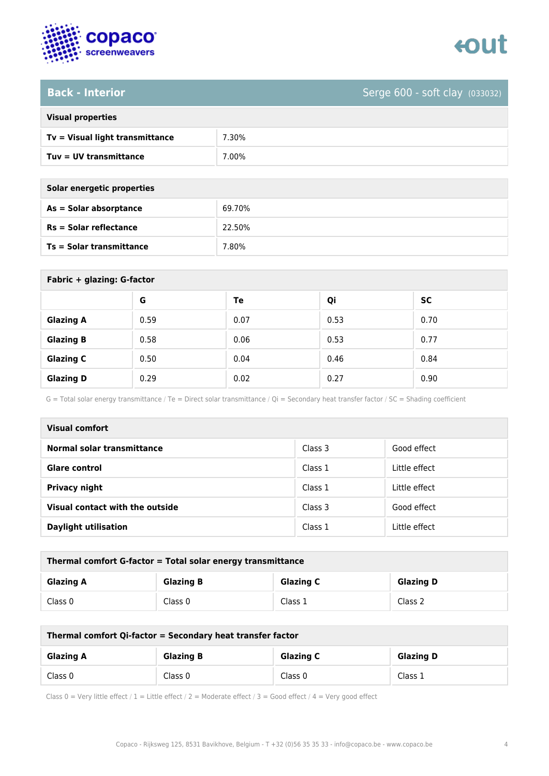

**Back - Interior** Serge 600 - soft clay (033032)

| <b>Visual properties</b> |  |  |
|--------------------------|--|--|
|                          |  |  |

| Tv = Visual light transmittance | .30% |
|---------------------------------|------|
| Tuv = UV transmittance          | .00% |

**As = Solar absorptance** 69.70%

**Rs = Solar reflectance** 22.50%

| Solar energetic properties      |        |  |
|---------------------------------|--------|--|
| As = Solar absorptance          | 69.70% |  |
| $Rs = Solar$ reflectance        | 22.50% |  |
| <b>Ts = Solar transmittance</b> | 7.80%  |  |

| Fabric + glazing: G-factor |      |      |      |      |
|----------------------------|------|------|------|------|
|                            | G    | Te   | Qi   | SC   |
| <b>Glazing A</b>           | 0.59 | 0.07 | 0.53 | 0.70 |
| <b>Glazing B</b>           | 0.58 | 0.06 | 0.53 | 0.77 |
| <b>Glazing C</b>           | 0.50 | 0.04 | 0.46 | 0.84 |
| <b>Glazing D</b>           | 0.29 | 0.02 | 0.27 | 0.90 |

G = Total solar energy transmittance / Te = Direct solar transmittance / Qi = Secondary heat transfer factor / SC = Shading coefficient

| <b>Visual comfort</b>           |         |               |
|---------------------------------|---------|---------------|
| Normal solar transmittance      | Class 3 | Good effect   |
| <b>Glare control</b>            | Class 1 | Little effect |
| <b>Privacy night</b>            | Class 1 | Little effect |
| Visual contact with the outside | Class 3 | Good effect   |
| <b>Daylight utilisation</b>     | Class 1 | Little effect |

| Thermal comfort G-factor = Total solar energy transmittance |                  |                  |                  |
|-------------------------------------------------------------|------------------|------------------|------------------|
| <b>Glazing A</b>                                            | <b>Glazing B</b> | <b>Glazing C</b> | <b>Glazing D</b> |
| Class 0                                                     | Class 0          | Class 1          | Class 2          |

| Thermal comfort Qi-factor = Secondary heat transfer factor |                  |                  |                  |
|------------------------------------------------------------|------------------|------------------|------------------|
| <b>Glazing A</b>                                           | <b>Glazing B</b> | <b>Glazing C</b> | <b>Glazing D</b> |
| Class 0                                                    | Class 0          | Class 0          | Class 1          |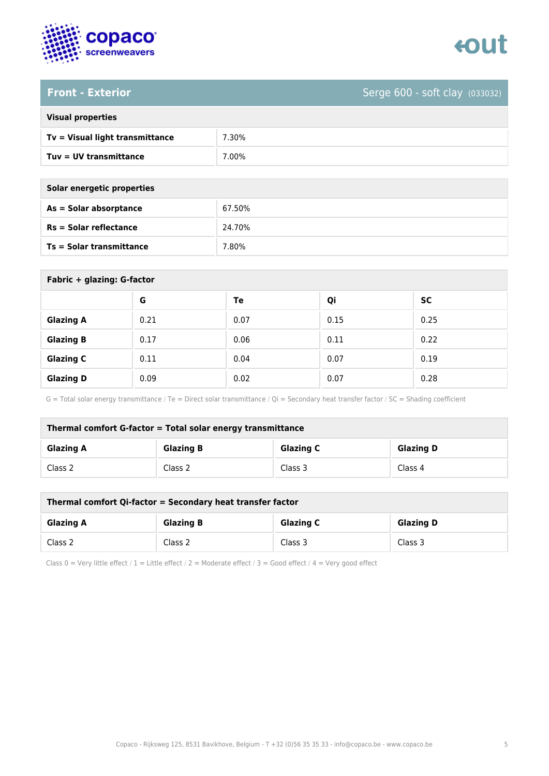



**Front - Exterior** Serge 600 - soft clay (033032)

| <b>Visual properties</b> |  |  |
|--------------------------|--|--|
|                          |  |  |

| Tv = Visual light transmittance | .30%   |
|---------------------------------|--------|
| Tuv = UV transmittance          | $00\%$ |

| Solar energetic properties      |        |
|---------------------------------|--------|
| As = Solar absorptance          | 67.50% |
| $Rs = Solar$ reflectance        | 24.70% |
| <b>Ts = Solar transmittance</b> | 7.80%  |

| Fabric + glazing: G-factor |      |      |      |           |
|----------------------------|------|------|------|-----------|
|                            | G    | Te   | Qi   | <b>SC</b> |
| <b>Glazing A</b>           | 0.21 | 0.07 | 0.15 | 0.25      |
| <b>Glazing B</b>           | 0.17 | 0.06 | 0.11 | 0.22      |
| <b>Glazing C</b>           | 0.11 | 0.04 | 0.07 | 0.19      |
| <b>Glazing D</b>           | 0.09 | 0.02 | 0.07 | 0.28      |

G = Total solar energy transmittance / Te = Direct solar transmittance / Qi = Secondary heat transfer factor / SC = Shading coefficient

| Thermal comfort G-factor = Total solar energy transmittance |                  |                  |                  |
|-------------------------------------------------------------|------------------|------------------|------------------|
| <b>Glazing A</b>                                            | <b>Glazing B</b> | <b>Glazing C</b> | <b>Glazing D</b> |
| Class 2                                                     | Class 2          | Class 3          | Class 4          |

| Thermal comfort Qi-factor = Secondary heat transfer factor |                  |                  |                  |
|------------------------------------------------------------|------------------|------------------|------------------|
| <b>Glazing A</b>                                           | <b>Glazing B</b> | <b>Glazing C</b> | <b>Glazing D</b> |
| Class 2                                                    | Class 2          | Class 3          | Class 3          |